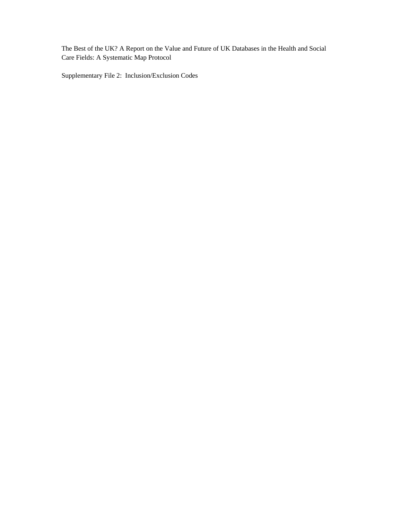The Best of the UK? A Report on the Value and Future of UK Databases in the Health and Social Care Fields: A Systematic Map Protocol

Supplementary File 2: Inclusion/Exclusion Codes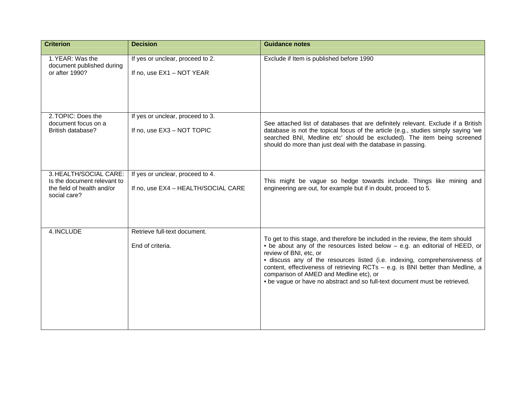| <b>Criterion</b>                                                                                    | <b>Decision</b>                                                         | <b>Guidance notes</b>                                                                                                                                                                                                                                                                                                                                                                                                                                                              |
|-----------------------------------------------------------------------------------------------------|-------------------------------------------------------------------------|------------------------------------------------------------------------------------------------------------------------------------------------------------------------------------------------------------------------------------------------------------------------------------------------------------------------------------------------------------------------------------------------------------------------------------------------------------------------------------|
| 1. YEAR: Was the<br>document published during<br>or after 1990?                                     | If yes or unclear, proceed to 2.<br>If no, use EX1 - NOT YEAR           | Exclude if Item is published before 1990                                                                                                                                                                                                                                                                                                                                                                                                                                           |
| 2. TOPIC: Does the<br>document focus on a<br>British database?                                      | If yes or unclear, proceed to 3.<br>If no, use EX3 - NOT TOPIC          | See attached list of databases that are definitely relevant. Exclude if a British<br>database is not the topical focus of the article (e.g., studies simply saying 'we<br>searched BNI, Medline etc' should be excluded). The item being screened<br>should do more than just deal with the database in passing.                                                                                                                                                                   |
| 3. HEALTH/SOCIAL CARE:<br>Is the document relevant to<br>the field of health and/or<br>social care? | If yes or unclear, proceed to 4.<br>If no, use EX4 - HEALTH/SOCIAL CARE | This might be vague so hedge towards include. Things like mining and<br>engineering are out, for example but if in doubt, proceed to 5.                                                                                                                                                                                                                                                                                                                                            |
| 4. INCLUDE                                                                                          | Retrieve full-text document.<br>End of criteria.                        | To get to this stage, and therefore be included in the review, the item should<br>• be about any of the resources listed below - e.g. an editorial of HEED, or<br>review of BNI, etc, or<br>· discuss any of the resources listed (i.e. indexing, comprehensiveness of<br>content, effectiveness of retrieving RCTs - e.g. is BNI better than Medline, a<br>comparison of AMED and Medline etc), or<br>• be vague or have no abstract and so full-text document must be retrieved. |